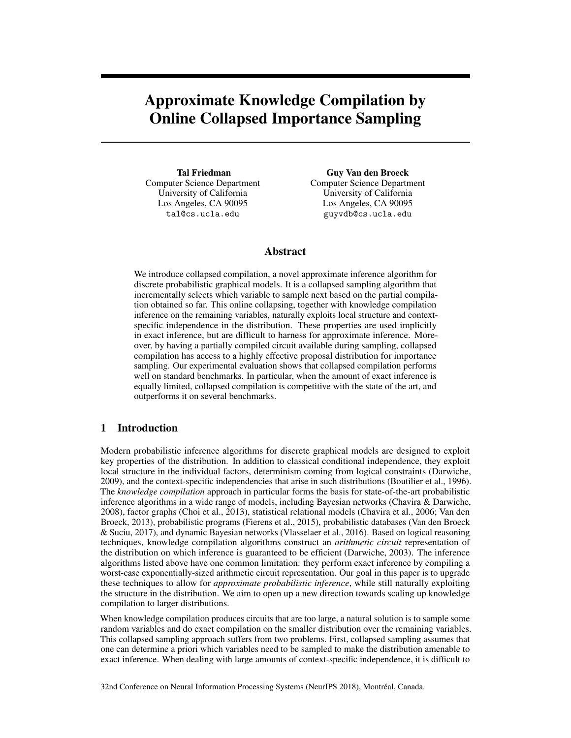# Approximate Knowledge Compilation by Online Collapsed Importance Sampling

Tal Friedman Computer Science Department University of California Los Angeles, CA 90095 tal@cs.ucla.edu

Guy Van den Broeck Computer Science Department University of California Los Angeles, CA 90095 guyvdb@cs.ucla.edu

# Abstract

We introduce collapsed compilation, a novel approximate inference algorithm for discrete probabilistic graphical models. It is a collapsed sampling algorithm that incrementally selects which variable to sample next based on the partial compilation obtained so far. This online collapsing, together with knowledge compilation inference on the remaining variables, naturally exploits local structure and contextspecific independence in the distribution. These properties are used implicitly in exact inference, but are difficult to harness for approximate inference. Moreover, by having a partially compiled circuit available during sampling, collapsed compilation has access to a highly effective proposal distribution for importance sampling. Our experimental evaluation shows that collapsed compilation performs well on standard benchmarks. In particular, when the amount of exact inference is equally limited, collapsed compilation is competitive with the state of the art, and outperforms it on several benchmarks.

# 1 Introduction

Modern probabilistic inference algorithms for discrete graphical models are designed to exploit key properties of the distribution. In addition to classical conditional independence, they exploit local structure in the individual factors, determinism coming from logical constraints (Darwiche, 2009), and the context-specific independencies that arise in such distributions (Boutilier et al., 1996). The *knowledge compilation* approach in particular forms the basis for state-of-the-art probabilistic inference algorithms in a wide range of models, including Bayesian networks (Chavira & Darwiche, 2008), factor graphs (Choi et al., 2013), statistical relational models (Chavira et al., 2006; Van den Broeck, 2013), probabilistic programs (Fierens et al., 2015), probabilistic databases (Van den Broeck & Suciu, 2017), and dynamic Bayesian networks (Vlasselaer et al., 2016). Based on logical reasoning techniques, knowledge compilation algorithms construct an *arithmetic circuit* representation of the distribution on which inference is guaranteed to be efficient (Darwiche, 2003). The inference algorithms listed above have one common limitation: they perform exact inference by compiling a worst-case exponentially-sized arithmetic circuit representation. Our goal in this paper is to upgrade these techniques to allow for *approximate probabilistic inference*, while still naturally exploiting the structure in the distribution. We aim to open up a new direction towards scaling up knowledge compilation to larger distributions.

When knowledge compilation produces circuits that are too large, a natural solution is to sample some random variables and do exact compilation on the smaller distribution over the remaining variables. This collapsed sampling approach suffers from two problems. First, collapsed sampling assumes that one can determine a priori which variables need to be sampled to make the distribution amenable to exact inference. When dealing with large amounts of context-specific independence, it is difficult to

32nd Conference on Neural Information Processing Systems (NeurIPS 2018), Montréal, Canada.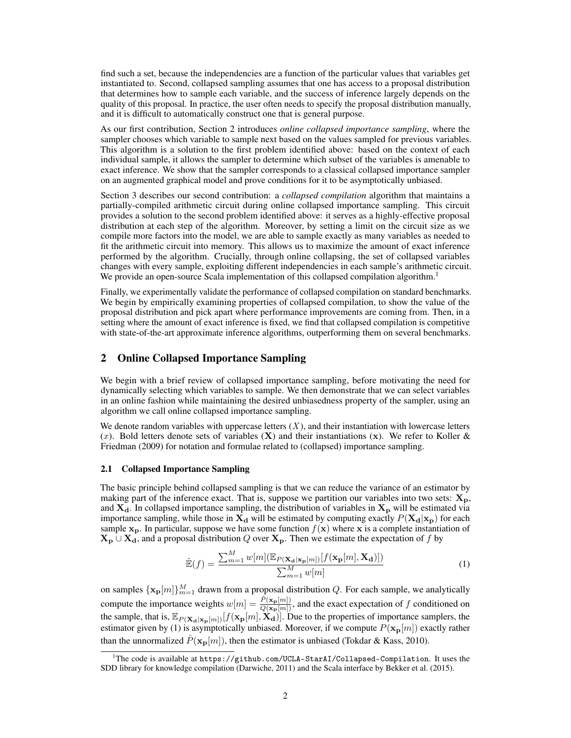find such a set, because the independencies are a function of the particular values that variables get instantiated to. Second, collapsed sampling assumes that one has access to a proposal distribution that determines how to sample each variable, and the success of inference largely depends on the quality of this proposal. In practice, the user often needs to specify the proposal distribution manually, and it is difficult to automatically construct one that is general purpose.

As our first contribution, Section 2 introduces *online collapsed importance sampling*, where the sampler chooses which variable to sample next based on the values sampled for previous variables. This algorithm is a solution to the first problem identified above: based on the context of each individual sample, it allows the sampler to determine which subset of the variables is amenable to exact inference. We show that the sampler corresponds to a classical collapsed importance sampler on an augmented graphical model and prove conditions for it to be asymptotically unbiased.

Section 3 describes our second contribution: a *collapsed compilation* algorithm that maintains a partially-compiled arithmetic circuit during online collapsed importance sampling. This circuit provides a solution to the second problem identified above: it serves as a highly-effective proposal distribution at each step of the algorithm. Moreover, by setting a limit on the circuit size as we compile more factors into the model, we are able to sample exactly as many variables as needed to fit the arithmetic circuit into memory. This allows us to maximize the amount of exact inference performed by the algorithm. Crucially, through online collapsing, the set of collapsed variables changes with every sample, exploiting different independencies in each sample's arithmetic circuit. We provide an open-source Scala implementation of this collapsed compilation algorithm.<sup>1</sup>

Finally, we experimentally validate the performance of collapsed compilation on standard benchmarks. We begin by empirically examining properties of collapsed compilation, to show the value of the proposal distribution and pick apart where performance improvements are coming from. Then, in a setting where the amount of exact inference is fixed, we find that collapsed compilation is competitive with state-of-the-art approximate inference algorithms, outperforming them on several benchmarks.

## 2 Online Collapsed Importance Sampling

We begin with a brief review of collapsed importance sampling, before motivating the need for dynamically selecting which variables to sample. We then demonstrate that we can select variables in an online fashion while maintaining the desired unbiasedness property of the sampler, using an algorithm we call online collapsed importance sampling.

We denote random variables with uppercase letters  $(X)$ , and their instantiation with lowercase letters  $(x)$ . Bold letters denote sets of variables  $(X)$  and their instantiations  $(x)$ . We refer to Koller & Friedman (2009) for notation and formulae related to (collapsed) importance sampling.

#### 2.1 Collapsed Importance Sampling

The basic principle behind collapsed sampling is that we can reduce the variance of an estimator by making part of the inference exact. That is, suppose we partition our variables into two sets:  $\mathbf{X}_{\mathbf{p}}$ , and  $X_d$ . In collapsed importance sampling, the distribution of variables in  $X_p$  will be estimated via importance sampling, while those in  $X_d$  will be estimated by computing exactly  $P(X_d|x_p)$  for each sample  $x_p$ . In particular, suppose we have some function  $f(x)$  where x is a complete instantiation of  $X_p \cup X_d$ , and a proposal distribution *Q* over  $X_p$ . Then we estimate the expectation of *f* by

$$
\hat{\mathbb{E}}(f) = \frac{\sum_{m=1}^{M} w[m] (\mathbb{E}_{P(\mathbf{X}_{\mathbf{d}}|\mathbf{x}_{\mathbf{p}}[m])} [f(\mathbf{x}_{\mathbf{p}}[m], \mathbf{X}_{\mathbf{d}})])}{\sum_{m=1}^{M} w[m]}
$$
(1)

on samples  $\{\mathbf{x_p}[m]\}_{m=1}^M$  drawn from a proposal distribution *Q*. For each sample, we analytically compute the importance weights  $w[m] = \frac{\hat{P}(x_{p}[m])}{Q(x_{p}[m])}$ , and the exact expectation of *f* conditioned on the sample, that is,  $\mathbb{E}_{P(\mathbf{X_d}|\mathbf{x_p}[m])}[f(\mathbf{x_p}[m], \mathbf{X_d})]$ . Due to the properties of importance samplers, the estimator given by (1) is asymptotically unbiased. Moreover, if we compute  $P(\mathbf{x_p}[m])$  exactly rather than the unnormalized  $\hat{P}(\mathbf{x_p}[m])$ , then the estimator is unbiased (Tokdar & Kass, 2010).

<sup>&</sup>lt;sup>1</sup>The code is available at https://github.com/UCLA-StarAI/Collapsed-Compilation. It uses the SDD library for knowledge compilation (Darwiche, 2011) and the Scala interface by Bekker et al. (2015).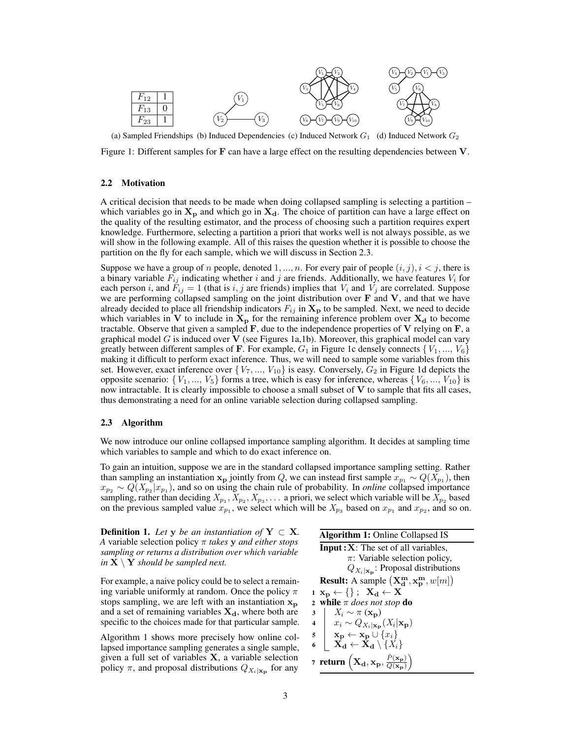

(a) Sampled Friendships (b) Induced Dependencies (c) Induced Network  $G_1$  (d) Induced Network  $G_2$ 

Figure 1: Different samples for **F** can have a large effect on the resulting dependencies between **V**.

### 2.2 Motivation

A critical decision that needs to be made when doing collapsed sampling is selecting a partition – which variables go in  $X_p$  and which go in  $X_d$ . The choice of partition can have a large effect on the quality of the resulting estimator, and the process of choosing such a partition requires expert knowledge. Furthermore, selecting a partition a priori that works well is not always possible, as we will show in the following example. All of this raises the question whether it is possible to choose the partition on the fly for each sample, which we will discuss in Section 2.3.

Suppose we have a group of *n* people, denoted  $1, ..., n$ . For every pair of people  $(i, j)$ ,  $i < j$ , there is a binary variable  $F_{ij}$  indicating whether *i* and *j* are friends. Additionally, we have features  $V_i$  for each person *i*, and  $F_{ij} = 1$  (that is *i*, *j* are friends) implies that  $V_i$  and  $V_j$  are correlated. Suppose we are performing collapsed sampling on the joint distribution over F and V, and that we have already decided to place all friendship indicators  $F_{ij}$  in  $X_p$  to be sampled. Next, we need to decide which variables in V to include in  $X_p$  for the remaining inference problem over  $X_d$  to become tractable. Observe that given a sampled  $\bf{F}$ , due to the independence properties of  $\bf{V}$  relying on  $\bf{F}$ , a graphical model *G* is induced over **V** (see Figures 1a,1b). Moreover, this graphical model can vary greatly between different samples of **F**. For example,  $G_1$  in Figure 1c densely connects  $\{V_1, ..., V_6\}$ making it difficult to perform exact inference. Thus, we will need to sample some variables from this set. However, exact inference over  $\{V_7, ..., V_{10}\}$  is easy. Conversely,  $G_2$  in Figure 1d depicts the opposite scenario:  $\{V_1, \ldots, V_5\}$  forms a tree, which is easy for inference, whereas  $\{V_6, \ldots, V_{10}\}$  is now intractable. It is clearly impossible to choose a small subset of V to sample that fits all cases, thus demonstrating a need for an online variable selection during collapsed sampling.

## 2.3 Algorithm

We now introduce our online collapsed importance sampling algorithm. It decides at sampling time which variables to sample and which to do exact inference on.

To gain an intuition, suppose we are in the standard collapsed importance sampling setting. Rather than sampling an instantiation  $x_p$  jointly from *Q*, we can instead first sample  $x_{p_1} \sim Q(X_{p_1})$ , then  $x_{p_2} \sim Q(X_{p_2} | x_{p_1})$ , and so on using the chain rule of probability. In *online* collapsed importance sampling, rather than deciding  $X_{p_1}, X_{p_2}, X_{p_3}, \ldots$  a priori, we select which variable will be  $X_{p_2}$  based on the previous sampled value  $x_{p_1}$ , we select which will be  $X_{p_3}$  based on  $x_{p_1}$  and  $x_{p_2}$ , and so on.

**Definition 1.** Let y be an instantiation of  $Y \subset X$ . *A* variable selection policy  $\pi$  *takes* **y** *and either stops sampling or returns a distribution over which variable in*  $X \setminus Y$  *should be sampled next.* 

For example, a naive policy could be to select a remaining variable uniformly at random. Once the policy  $\pi$ stops sampling, we are left with an instantiation  $x_p$ and a set of remaining variables  $X_d$ , where both are specific to the choices made for that particular sample.

Algorithm 1 shows more precisely how online collapsed importance sampling generates a single sample, given a full set of variables  $X$ , a variable selection policy  $\pi$ , and proposal distributions  $Q_{X_i|\mathbf{x_p}}$  for any

|                         | <b>Algorithm 1:</b> Online Collapsed IS                                                                   |  |  |  |
|-------------------------|-----------------------------------------------------------------------------------------------------------|--|--|--|
|                         | <b>Input:</b> $X$ : The set of all variables,                                                             |  |  |  |
|                         | $\pi$ : Variable selection policy,                                                                        |  |  |  |
|                         | $Q_{X_i \mathbf{x}_p}$ : Proposal distributions                                                           |  |  |  |
|                         | <b>Result:</b> A sample $(X_d^m, x_p^m, w[m])$                                                            |  |  |  |
|                         | $1 \mathbf{X_D} \leftarrow \{\}$ ; $\mathbf{X_d} \leftarrow \mathbf{X}$                                   |  |  |  |
|                         | 2 while $\pi$ does not stop do                                                                            |  |  |  |
| 3                       | $X_i \sim \pi(\mathbf{x_p})$                                                                              |  |  |  |
| $\overline{\mathbf{4}}$ | $x_i \sim Q_{X_i \mathbf{x_p}}(X_i \mathbf{x_p})$                                                         |  |  |  |
|                         | $\mathbf{s} \quad \mathbf{x_p} \leftarrow \mathbf{x_p} \cup \{x_i\}$                                      |  |  |  |
| 6                       | $X_{\mathbf{d}} \leftarrow X_{\mathbf{d}} \setminus \{X_i\}$                                              |  |  |  |
|                         | 7 return $\left(\mathbf{X_{d}}, \mathbf{x_{p}}, \frac{\hat{P}(\mathbf{x_{p}})}{Q(\mathbf{x_{p}})}\right)$ |  |  |  |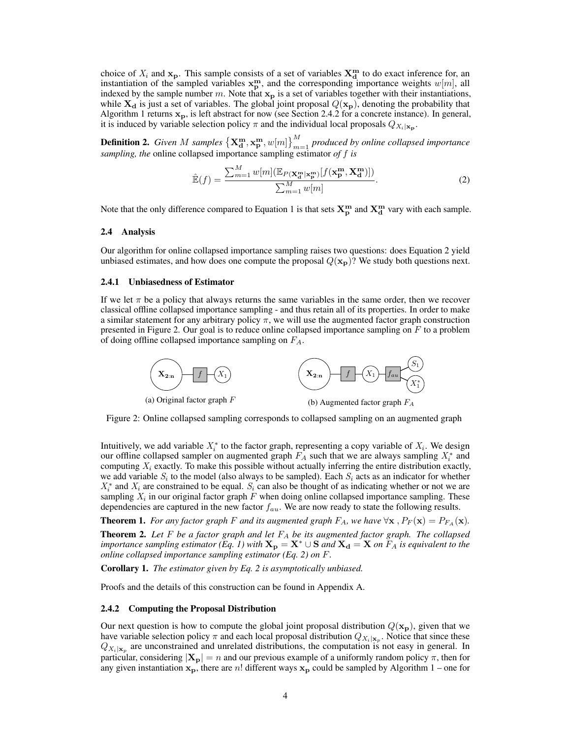choice of  $X_i$  and  $\mathbf{x}_p$ . This sample consists of a set of variables  $\mathbf{X}_d^{\mathbf{m}}$  to do exact inference for, an instantiation of the sampled variables  $x_p^m$ , and the corresponding importance weights  $w[m]$ , all indexed by the sample number  $m$ . Note that  $x_p$  is a set of variables together with their instantiations, while  $X_d$  is just a set of variables. The global joint proposal  $Q(x_p)$ , denoting the probability that Algorithm 1 returns  $x_p$ , is left abstract for now (see Section 2.4.2 for a concrete instance). In general, it is induced by variable selection policy  $\pi$  and the individual local proposals  $Q_{X_i|x_n}$ .

**Definition 2.** *Given M samples*  $\{X_d^m, x_p^m, w[m]\}_{m=1}^M$  *produced by online collapsed importance sampling, the* online collapsed importance sampling estimator *of f is*

$$
\hat{\mathbb{E}}(f) = \frac{\sum_{m=1}^{M} w[m] (\mathbb{E}_{P(\mathbf{X}_{\mathbf{d}}^{\mathbf{m}}|\mathbf{x}_{\mathbf{p}}^{\mathbf{m}})}[f(\mathbf{x}_{\mathbf{p}}^{\mathbf{m}}, \mathbf{X}_{\mathbf{d}}^{\mathbf{m}})])}{\sum_{m=1}^{M} w[m]}.
$$
\n(2)

Note that the only difference compared to Equation 1 is that sets  $X_p^m$  and  $X_d^m$  vary with each sample.

#### 2.4 Analysis

Our algorithm for online collapsed importance sampling raises two questions: does Equation 2 yield unbiased estimates, and how does one compute the proposal  $Q(\mathbf{x_p})$ ? We study both questions next.

#### 2.4.1 Unbiasedness of Estimator

If we let  $\pi$  be a policy that always returns the same variables in the same order, then we recover classical offline collapsed importance sampling - and thus retain all of its properties. In order to make a similar statement for any arbitrary policy  $\pi$ , we will use the augmented factor graph construction presented in Figure 2. Our goal is to reduce online collapsed importance sampling on *F* to a problem of doing offline collapsed importance sampling on *FA*.



Figure 2: Online collapsed sampling corresponds to collapsed sampling on an augmented graph

Intuitively, we add variable  $X_i^*$  to the factor graph, representing a copy variable of  $X_i$ . We design our offline collapsed sampler on augmented graph  $F_A$  such that we are always sampling  $X_i^*$  and computing *X<sup>i</sup>* exactly. To make this possible without actually inferring the entire distribution exactly, we add variable  $S_i$  to the model (also always to be sampled). Each  $S_i$  acts as an indicator for whether  $X_i^*$  and  $X_i$  are constrained to be equal.  $S_i$  can also be thought of as indicating whether or not we are sampling  $X_i$  in our original factor graph  $F$  when doing online collapsed importance sampling. These dependencies are captured in the new factor *fau*. We are now ready to state the following results.

**Theorem 1.** For any factor graph F and its augmented graph  $F_A$ , we have  $\forall$ **x**  $, P_F(\mathbf{x}) = P_{F_A}(\mathbf{x})$ .

Theorem 2. *Let F be a factor graph and let F<sup>A</sup> be its augmented factor graph. The collapsed importance sampling estimator (Eq. 1) with*  $X_p = X^* \cup S$  *and*  $X_d = X$  *on*  $F_A$  *is equivalent to the online collapsed importance sampling estimator (Eq. 2) on F.*

Corollary 1. *The estimator given by Eq. 2 is asymptotically unbiased.*

Proofs and the details of this construction can be found in Appendix A.

#### 2.4.2 Computing the Proposal Distribution

Our next question is how to compute the global joint proposal distribution  $Q(\mathbf{x_p})$ , given that we have variable selection policy  $\pi$  and each local proposal distribution  $Q_{X_i}|_{\mathbf{x}_p}$ . Notice that since these  $Q_{X_i|\mathbf{x}_p}$  are unconstrained and unrelated distributions, the computation is not easy in general. In particular, considering  $|\mathbf{X_p}| = n$  and our previous example of a uniformly random policy  $\pi$ , then for any given instantiation  $x_p$ , there are *n*! different ways  $x_p$  could be sampled by Algorithm 1 – one for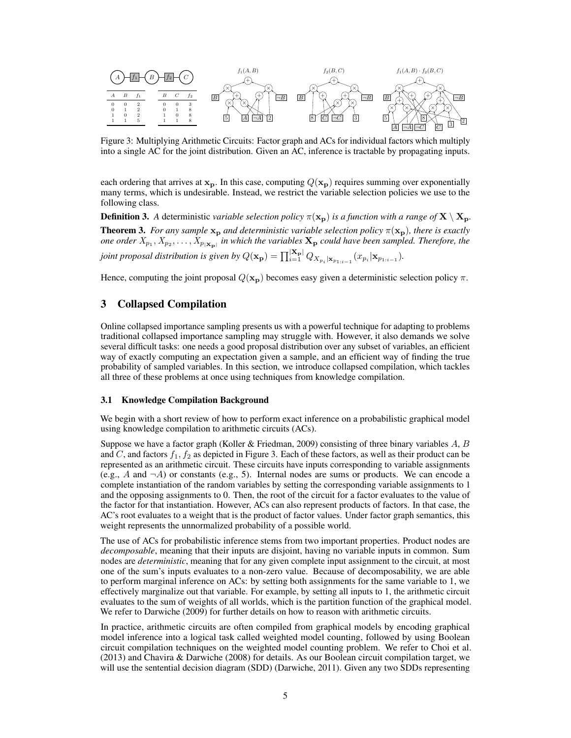

Figure 3: Multiplying Arithmetic Circuits: Factor graph and ACs for individual factors which multiply into a single AC for the joint distribution. Given an AC, inference is tractable by propagating inputs.

each ordering that arrives at  $x_p$ . In this case, computing  $Q(x_p)$  requires summing over exponentially many terms, which is undesirable. Instead, we restrict the variable selection policies we use to the following class.

**Definition 3.** A deterministic *variable selection policy*  $\pi(\mathbf{x}_p)$  *is a function with a range of*  $\mathbf{X} \setminus \mathbf{X_p}$ . **Theorem 3.** *For any sample*  $x_p$  *and deterministic variable selection policy*  $\pi(x_p)$ *, there is exactly one order*  $X_{p_1}, X_{p_2}, \ldots, X_{p_{|\mathbf{X_p}|}}$  *in which the variables*  $\mathbf{X_p}$  *could have been sampled. Therefore, the joint proposal distribution is given by*  $Q(\mathbf{x_p}) = \prod_{i=1}^{|\mathbf{X_p}|} Q_{X_{p_i}|\mathbf{x}_{p_{1:i-1}}}(x_{p_i}|\mathbf{x}_{p_{1:i-1}})$ .

Hence, computing the joint proposal  $Q(\mathbf{x_p})$  becomes easy given a deterministic selection policy  $\pi$ .

# 3 Collapsed Compilation

Online collapsed importance sampling presents us with a powerful technique for adapting to problems traditional collapsed importance sampling may struggle with. However, it also demands we solve several difficult tasks: one needs a good proposal distribution over any subset of variables, an efficient way of exactly computing an expectation given a sample, and an efficient way of finding the true probability of sampled variables. In this section, we introduce collapsed compilation, which tackles all three of these problems at once using techniques from knowledge compilation.

## 3.1 Knowledge Compilation Background

We begin with a short review of how to perform exact inference on a probabilistic graphical model using knowledge compilation to arithmetic circuits (ACs).

Suppose we have a factor graph (Koller & Friedman, 2009) consisting of three binary variables *A*, *B* and *C*, and factors *f*1*, f*<sup>2</sup> as depicted in Figure 3. Each of these factors, as well as their product can be represented as an arithmetic circuit. These circuits have inputs corresponding to variable assignments (e.g., *A* and *¬A*) or constants (e.g., 5). Internal nodes are sums or products. We can encode a complete instantiation of the random variables by setting the corresponding variable assignments to 1 and the opposing assignments to 0. Then, the root of the circuit for a factor evaluates to the value of the factor for that instantiation. However, ACs can also represent products of factors. In that case, the AC's root evaluates to a weight that is the product of factor values. Under factor graph semantics, this weight represents the unnormalized probability of a possible world.

The use of ACs for probabilistic inference stems from two important properties. Product nodes are *decomposable*, meaning that their inputs are disjoint, having no variable inputs in common. Sum nodes are *deterministic*, meaning that for any given complete input assignment to the circuit, at most one of the sum's inputs evaluates to a non-zero value. Because of decomposability, we are able to perform marginal inference on ACs: by setting both assignments for the same variable to 1, we effectively marginalize out that variable. For example, by setting all inputs to 1, the arithmetic circuit evaluates to the sum of weights of all worlds, which is the partition function of the graphical model. We refer to Darwiche (2009) for further details on how to reason with arithmetic circuits.

In practice, arithmetic circuits are often compiled from graphical models by encoding graphical model inference into a logical task called weighted model counting, followed by using Boolean circuit compilation techniques on the weighted model counting problem. We refer to Choi et al. (2013) and Chavira & Darwiche (2008) for details. As our Boolean circuit compilation target, we will use the sentential decision diagram (SDD) (Darwiche, 2011). Given any two SDDs representing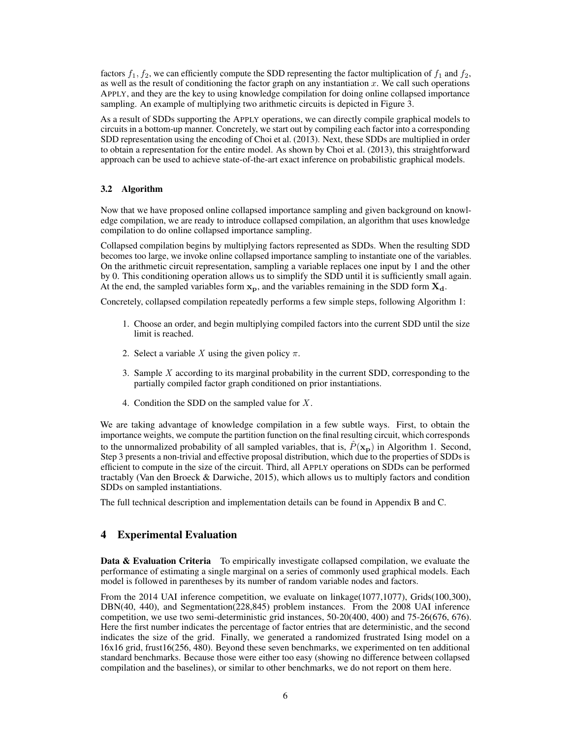factors  $f_1, f_2$ , we can efficiently compute the SDD representing the factor multiplication of  $f_1$  and  $f_2$ , as well as the result of conditioning the factor graph on any instantiation *x*. We call such operations APPLY, and they are the key to using knowledge compilation for doing online collapsed importance sampling. An example of multiplying two arithmetic circuits is depicted in Figure 3.

As a result of SDDs supporting the APPLY operations, we can directly compile graphical models to circuits in a bottom-up manner. Concretely, we start out by compiling each factor into a corresponding SDD representation using the encoding of Choi et al. (2013). Next, these SDDs are multiplied in order to obtain a representation for the entire model. As shown by Choi et al. (2013), this straightforward approach can be used to achieve state-of-the-art exact inference on probabilistic graphical models.

## 3.2 Algorithm

Now that we have proposed online collapsed importance sampling and given background on knowledge compilation, we are ready to introduce collapsed compilation, an algorithm that uses knowledge compilation to do online collapsed importance sampling.

Collapsed compilation begins by multiplying factors represented as SDDs. When the resulting SDD becomes too large, we invoke online collapsed importance sampling to instantiate one of the variables. On the arithmetic circuit representation, sampling a variable replaces one input by 1 and the other by 0. This conditioning operation allows us to simplify the SDD until it is sufficiently small again. At the end, the sampled variables form  $x_p$ , and the variables remaining in the SDD form  $X_d$ .

Concretely, collapsed compilation repeatedly performs a few simple steps, following Algorithm 1:

- 1. Choose an order, and begin multiplying compiled factors into the current SDD until the size limit is reached.
- 2. Select a variable *X* using the given policy  $\pi$ .
- 3. Sample *X* according to its marginal probability in the current SDD, corresponding to the partially compiled factor graph conditioned on prior instantiations.
- 4. Condition the SDD on the sampled value for *X* .

We are taking advantage of knowledge compilation in a few subtle ways. First, to obtain the importance weights, we compute the partition function on the final resulting circuit, which corresponds to the unnormalized probability of all sampled variables, that is,  $\hat{P}(\mathbf{x_p})$  in Algorithm 1. Second, Step 3 presents a non-trivial and effective proposal distribution, which due to the properties of SDDs is efficient to compute in the size of the circuit. Third, all APPLY operations on SDDs can be performed tractably (Van den Broeck & Darwiche, 2015), which allows us to multiply factors and condition SDDs on sampled instantiations.

The full technical description and implementation details can be found in Appendix B and C.

# 4 Experimental Evaluation

Data & Evaluation Criteria To empirically investigate collapsed compilation, we evaluate the performance of estimating a single marginal on a series of commonly used graphical models. Each model is followed in parentheses by its number of random variable nodes and factors.

From the 2014 UAI inference competition, we evaluate on linkage(1077,1077), Grids(100,300), DBN(40, 440), and Segmentation(228,845) problem instances. From the 2008 UAI inference competition, we use two semi-deterministic grid instances, 50-20(400, 400) and 75-26(676, 676). Here the first number indicates the percentage of factor entries that are deterministic, and the second indicates the size of the grid. Finally, we generated a randomized frustrated Ising model on a 16x16 grid, frust16(256, 480). Beyond these seven benchmarks, we experimented on ten additional standard benchmarks. Because those were either too easy (showing no difference between collapsed compilation and the baselines), or similar to other benchmarks, we do not report on them here.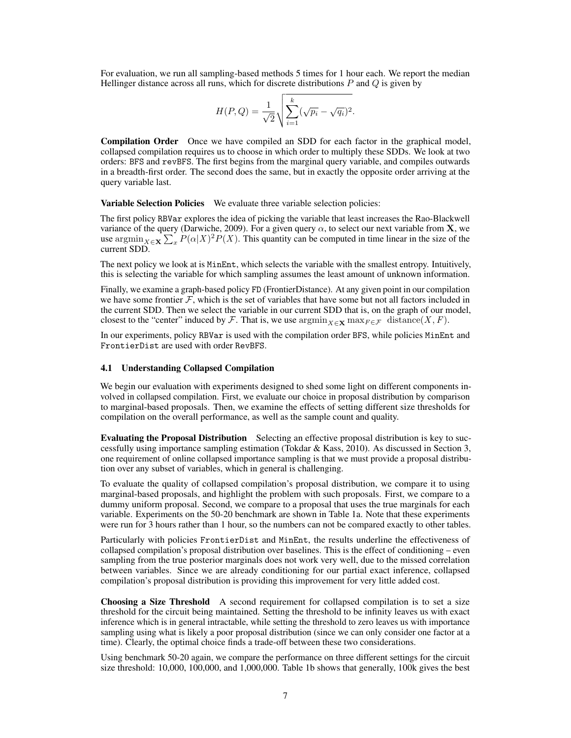For evaluation, we run all sampling-based methods 5 times for 1 hour each. We report the median Hellinger distance across all runs, which for discrete distributions *P* and *Q* is given by

$$
H(P,Q) = \frac{1}{\sqrt{2}} \sqrt{\sum_{i=1}^{k} (\sqrt{p_i} - \sqrt{q_i})^2}.
$$

Compilation Order Once we have compiled an SDD for each factor in the graphical model, collapsed compilation requires us to choose in which order to multiply these SDDs. We look at two orders: BFS and revBFS. The first begins from the marginal query variable, and compiles outwards in a breadth-first order. The second does the same, but in exactly the opposite order arriving at the query variable last.

Variable Selection Policies We evaluate three variable selection policies:

The first policy RBVar explores the idea of picking the variable that least increases the Rao-Blackwell variance of the query (Darwiche, 2009). For a given query  $\alpha$ , to select our next variable from **X**, we use  $\arg\min_{X \in \mathbf{X}} \sum_{x} P(\alpha|X)^2 P(X)$ . This quantity can be computed in time linear in the size of the current SDD.

The next policy we look at is MinEnt, which selects the variable with the smallest entropy. Intuitively, this is selecting the variable for which sampling assumes the least amount of unknown information.

Finally, we examine a graph-based policy FD (FrontierDistance). At any given point in our compilation we have some frontier  $\mathcal F$ , which is the set of variables that have some but not all factors included in the current SDD. Then we select the variable in our current SDD that is, on the graph of our model, closest to the "center" induced by *F*. That is, we use  $\operatorname{argmin}_{X \in \mathbf{X}} \max_{F \in \mathcal{F}} \operatorname{distance}(X, F)$ .

In our experiments, policy RBVar is used with the compilation order BFS, while policies MinEnt and FrontierDist are used with order RevBFS.

# 4.1 Understanding Collapsed Compilation

We begin our evaluation with experiments designed to shed some light on different components involved in collapsed compilation. First, we evaluate our choice in proposal distribution by comparison to marginal-based proposals. Then, we examine the effects of setting different size thresholds for compilation on the overall performance, as well as the sample count and quality.

Evaluating the Proposal Distribution Selecting an effective proposal distribution is key to successfully using importance sampling estimation (Tokdar & Kass, 2010). As discussed in Section 3, one requirement of online collapsed importance sampling is that we must provide a proposal distribution over any subset of variables, which in general is challenging.

To evaluate the quality of collapsed compilation's proposal distribution, we compare it to using marginal-based proposals, and highlight the problem with such proposals. First, we compare to a dummy uniform proposal. Second, we compare to a proposal that uses the true marginals for each variable. Experiments on the 50-20 benchmark are shown in Table 1a. Note that these experiments were run for 3 hours rather than 1 hour, so the numbers can not be compared exactly to other tables.

Particularly with policies FrontierDist and MinEnt, the results underline the effectiveness of collapsed compilation's proposal distribution over baselines. This is the effect of conditioning – even sampling from the true posterior marginals does not work very well, due to the missed correlation between variables. Since we are already conditioning for our partial exact inference, collapsed compilation's proposal distribution is providing this improvement for very little added cost.

Choosing a Size Threshold A second requirement for collapsed compilation is to set a size threshold for the circuit being maintained. Setting the threshold to be infinity leaves us with exact inference which is in general intractable, while setting the threshold to zero leaves us with importance sampling using what is likely a poor proposal distribution (since we can only consider one factor at a time). Clearly, the optimal choice finds a trade-off between these two considerations.

Using benchmark 50-20 again, we compare the performance on three different settings for the circuit size threshold: 10,000, 100,000, and 1,000,000. Table 1b shows that generally, 100k gives the best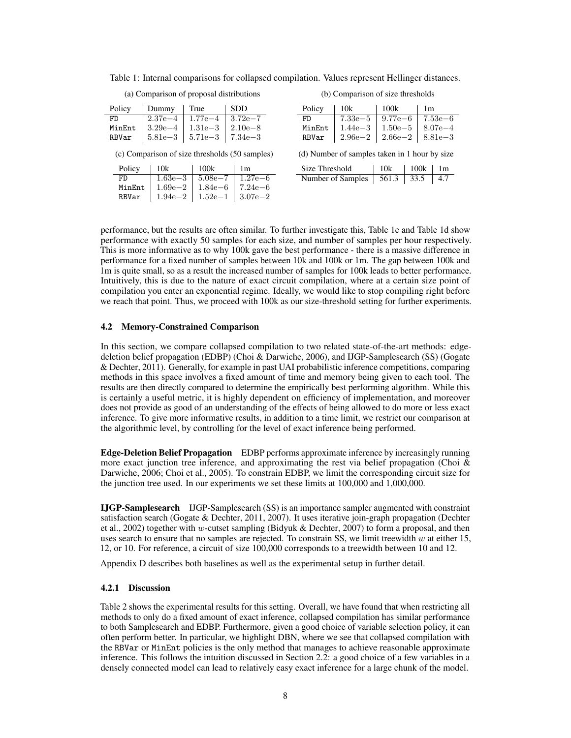Table 1: Internal comparisons for collapsed compilation. Values represent Hellinger distances.

(a) Comparison of proposal distributions

| Policy | Dummy   True                      |                                   | ∣ SDD |
|--------|-----------------------------------|-----------------------------------|-------|
| FD     |                                   | $2.37e-4$   $1.77e-4$   $3.72e-7$ |       |
| MinEnt | $ 3.29e-4 $                       | $1.31e-3$   2.10e-8               |       |
| RBVar  | $5.81e-3$   $5.71e-3$   $7.34e-3$ |                                   |       |

(b) Comparison of size thresholds

| Policy | 10k                   | 100k                              | 1 <sub>m</sub> |
|--------|-----------------------|-----------------------------------|----------------|
| FD.    |                       | $7.33e-5$   $9.77e-6$   $7.53e-6$ |                |
| MinEnt | $1.44e-3$   $1.50e-5$ |                                   | $ 8.07e-4$     |
| RBVar  |                       | $2.96e-2$   $2.66e-2$   $8.81e-3$ |                |

(c) Comparison of size thresholds (50 samples)

| Policy | 10k         | 100k                              | 1 <sub>m</sub> |
|--------|-------------|-----------------------------------|----------------|
| FD     | $1.63e - 3$ | $1.5.08e - 7$                     | $1.27e{-}6$    |
| MinEnt | $1.69e - 2$ | $1.84e{-}6$                       | $7.24e{-}6$    |
| RBVar  |             | $1.94e-2$   $1.52e-1$   $3.07e-2$ |                |

<sup>(</sup>d) Number of samples taken in 1 hour by size

| Size Threshold                   | 10k | 100k | $\perp$ 1m |
|----------------------------------|-----|------|------------|
| Number of Samples   561.3   33.5 |     |      | 4.7        |

performance, but the results are often similar. To further investigate this, Table 1c and Table 1d show performance with exactly 50 samples for each size, and number of samples per hour respectively. This is more informative as to why 100k gave the best performance - there is a massive difference in performance for a fixed number of samples between 10k and 100k or 1m. The gap between 100k and 1m is quite small, so as a result the increased number of samples for 100k leads to better performance. Intuitively, this is due to the nature of exact circuit compilation, where at a certain size point of compilation you enter an exponential regime. Ideally, we would like to stop compiling right before we reach that point. Thus, we proceed with 100k as our size-threshold setting for further experiments.

#### 4.2 Memory-Constrained Comparison

In this section, we compare collapsed compilation to two related state-of-the-art methods: edgedeletion belief propagation (EDBP) (Choi & Darwiche, 2006), and IJGP-Samplesearch (SS) (Gogate & Dechter, 2011). Generally, for example in past UAI probabilistic inference competitions, comparing methods in this space involves a fixed amount of time and memory being given to each tool. The results are then directly compared to determine the empirically best performing algorithm. While this is certainly a useful metric, it is highly dependent on efficiency of implementation, and moreover does not provide as good of an understanding of the effects of being allowed to do more or less exact inference. To give more informative results, in addition to a time limit, we restrict our comparison at the algorithmic level, by controlling for the level of exact inference being performed.

Edge-Deletion Belief Propagation EDBP performs approximate inference by increasingly running more exact junction tree inference, and approximating the rest via belief propagation (Choi  $\&$ Darwiche, 2006; Choi et al., 2005). To constrain EDBP, we limit the corresponding circuit size for the junction tree used. In our experiments we set these limits at 100,000 and 1,000,000.

IJGP-Samplesearch IJGP-Samplesearch (SS) is an importance sampler augmented with constraint satisfaction search (Gogate & Dechter, 2011, 2007). It uses iterative join-graph propagation (Dechter et al., 2002) together with *w*-cutset sampling (Bidyuk & Dechter, 2007) to form a proposal, and then uses search to ensure that no samples are rejected. To constrain SS, we limit treewidth *w* at either 15, 12, or 10. For reference, a circuit of size 100,000 corresponds to a treewidth between 10 and 12.

Appendix D describes both baselines as well as the experimental setup in further detail.

### 4.2.1 Discussion

Table 2 shows the experimental results for this setting. Overall, we have found that when restricting all methods to only do a fixed amount of exact inference, collapsed compilation has similar performance to both Samplesearch and EDBP. Furthermore, given a good choice of variable selection policy, it can often perform better. In particular, we highlight DBN, where we see that collapsed compilation with the RBVar or MinEnt policies is the only method that manages to achieve reasonable approximate inference. This follows the intuition discussed in Section 2.2: a good choice of a few variables in a densely connected model can lead to relatively easy exact inference for a large chunk of the model.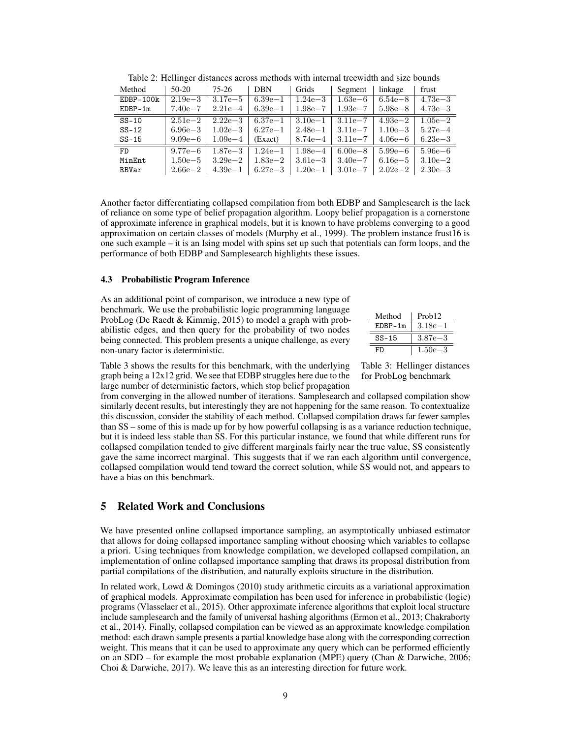| Method      | $50-20$     | 75-26       | <b>DBN</b>  | Grids       | Segment     | linkage     | frust       |
|-------------|-------------|-------------|-------------|-------------|-------------|-------------|-------------|
| $EDBP-100k$ | $2.19e - 3$ | $3.17e - 5$ | $6.39e-1$   | $1.24e - 3$ | $1.63e{-}6$ | $6.54e - 8$ | $4.73e - 3$ |
| $EDBP-1m$   | $7.40e - 7$ | $2.21e-4$   | $6.39e-1$   | $1.98e - 7$ | $1.93e - 7$ | $5.98e - 8$ | $4.73e - 3$ |
| $SS-10$     | $2.51e - 2$ | $2.22e - 3$ | $6.37e - 1$ | $3.10e-1$   | $3.11e - 7$ | $4.93e - 2$ | $1.05e - 2$ |
| $SS-12$     | $6.96e - 3$ | $1.02e - 3$ | $6.27e - 1$ | $2.48e - 1$ | $3.11e - 7$ | $1.10e - 3$ | $5.27e - 4$ |
| $SS-15$     | $9.09e{-}6$ | $1.09e - 4$ | (Exact)     | $8.74e - 4$ | $3.11e - 7$ | $4.06e - 6$ | $6.23e - 3$ |
| FD.         | $9.77e - 6$ | $1.87e - 3$ | $1.24e - 1$ | $1.98e - 4$ | $6.00e - 8$ | $5.99e{-}6$ | $5.96e - 6$ |
| MinEnt      | $1.50e{-5}$ | $3.29e - 2$ | $1.83e - 2$ | $3.61e - 3$ | $3.40e - 7$ | $6.16e - 5$ | $3.10e - 2$ |
| RBVar       | $2.66e - 2$ | $4.39e-1$   | $6.27e - 3$ | $1.20e-1$   | $3.01e - 7$ | $2.02e - 2$ | $2.30e - 3$ |

Table 2: Hellinger distances across methods with internal treewidth and size bounds

Another factor differentiating collapsed compilation from both EDBP and Samplesearch is the lack of reliance on some type of belief propagation algorithm. Loopy belief propagation is a cornerstone of approximate inference in graphical models, but it is known to have problems converging to a good approximation on certain classes of models (Murphy et al., 1999). The problem instance frust16 is one such example – it is an Ising model with spins set up such that potentials can form loops, and the performance of both EDBP and Samplesearch highlights these issues.

#### 4.3 Probabilistic Program Inference

As an additional point of comparison, we introduce a new type of benchmark. We use the probabilistic logic programming language ProbLog (De Raedt & Kimmig, 2015) to model a graph with probabilistic edges, and then query for the probability of two nodes being connected. This problem presents a unique challenge, as every non-unary factor is deterministic.

| Method    | Prob <sub>12</sub> |
|-----------|--------------------|
| $EDBP-1m$ | $3.18e - 1$        |
| $SS-15$   | $3.87e - 3$        |
| FD        | $1.50e - 3$        |

Table 3 shows the results for this benchmark, with the underlying graph being a 12x12 grid. We see that EDBP struggles here due to the large number of deterministic factors, which stop belief propagation Table 3: Hellinger distances for ProbLog benchmark

from converging in the allowed number of iterations. Samplesearch and collapsed compilation show similarly decent results, but interestingly they are not happening for the same reason. To contextualize this discussion, consider the stability of each method. Collapsed compilation draws far fewer samples than SS – some of this is made up for by how powerful collapsing is as a variance reduction technique, but it is indeed less stable than SS. For this particular instance, we found that while different runs for collapsed compilation tended to give different marginals fairly near the true value, SS consistently gave the same incorrect marginal. This suggests that if we ran each algorithm until convergence, collapsed compilation would tend toward the correct solution, while SS would not, and appears to have a bias on this benchmark.

# 5 Related Work and Conclusions

We have presented online collapsed importance sampling, an asymptotically unbiased estimator that allows for doing collapsed importance sampling without choosing which variables to collapse a priori. Using techniques from knowledge compilation, we developed collapsed compilation, an implementation of online collapsed importance sampling that draws its proposal distribution from partial compilations of the distribution, and naturally exploits structure in the distribution.

In related work, Lowd & Domingos (2010) study arithmetic circuits as a variational approximation of graphical models. Approximate compilation has been used for inference in probabilistic (logic) programs (Vlasselaer et al., 2015). Other approximate inference algorithms that exploit local structure include samplesearch and the family of universal hashing algorithms (Ermon et al., 2013; Chakraborty et al., 2014). Finally, collapsed compilation can be viewed as an approximate knowledge compilation method: each drawn sample presents a partial knowledge base along with the corresponding correction weight. This means that it can be used to approximate any query which can be performed efficiently on an SDD – for example the most probable explanation (MPE) query (Chan & Darwiche, 2006; Choi & Darwiche, 2017). We leave this as an interesting direction for future work.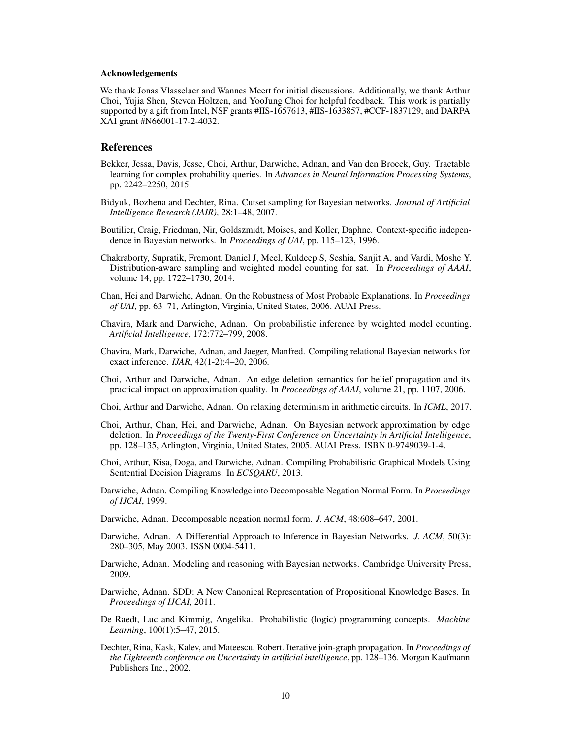#### Acknowledgements

We thank Jonas Vlasselaer and Wannes Meert for initial discussions. Additionally, we thank Arthur Choi, Yujia Shen, Steven Holtzen, and YooJung Choi for helpful feedback. This work is partially supported by a gift from Intel, NSF grants #IIS-1657613, #IIS-1633857, #CCF-1837129, and DARPA XAI grant #N66001-17-2-4032.

## References

- Bekker, Jessa, Davis, Jesse, Choi, Arthur, Darwiche, Adnan, and Van den Broeck, Guy. Tractable learning for complex probability queries. In *Advances in Neural Information Processing Systems*, pp. 2242–2250, 2015.
- Bidyuk, Bozhena and Dechter, Rina. Cutset sampling for Bayesian networks. *Journal of Artificial Intelligence Research (JAIR)*, 28:1–48, 2007.
- Boutilier, Craig, Friedman, Nir, Goldszmidt, Moises, and Koller, Daphne. Context-specific independence in Bayesian networks. In *Proceedings of UAI*, pp. 115–123, 1996.
- Chakraborty, Supratik, Fremont, Daniel J, Meel, Kuldeep S, Seshia, Sanjit A, and Vardi, Moshe Y. Distribution-aware sampling and weighted model counting for sat. In *Proceedings of AAAI*, volume 14, pp. 1722–1730, 2014.
- Chan, Hei and Darwiche, Adnan. On the Robustness of Most Probable Explanations. In *Proceedings of UAI*, pp. 63–71, Arlington, Virginia, United States, 2006. AUAI Press.
- Chavira, Mark and Darwiche, Adnan. On probabilistic inference by weighted model counting. *Artificial Intelligence*, 172:772–799, 2008.
- Chavira, Mark, Darwiche, Adnan, and Jaeger, Manfred. Compiling relational Bayesian networks for exact inference. *IJAR*, 42(1-2):4–20, 2006.
- Choi, Arthur and Darwiche, Adnan. An edge deletion semantics for belief propagation and its practical impact on approximation quality. In *Proceedings of AAAI*, volume 21, pp. 1107, 2006.
- Choi, Arthur and Darwiche, Adnan. On relaxing determinism in arithmetic circuits. In *ICML*, 2017.
- Choi, Arthur, Chan, Hei, and Darwiche, Adnan. On Bayesian network approximation by edge deletion. In *Proceedings of the Twenty-First Conference on Uncertainty in Artificial Intelligence*, pp. 128–135, Arlington, Virginia, United States, 2005. AUAI Press. ISBN 0-9749039-1-4.
- Choi, Arthur, Kisa, Doga, and Darwiche, Adnan. Compiling Probabilistic Graphical Models Using Sentential Decision Diagrams. In *ECSQARU*, 2013.
- Darwiche, Adnan. Compiling Knowledge into Decomposable Negation Normal Form. In *Proceedings of IJCAI*, 1999.
- Darwiche, Adnan. Decomposable negation normal form. *J. ACM*, 48:608–647, 2001.
- Darwiche, Adnan. A Differential Approach to Inference in Bayesian Networks. *J. ACM*, 50(3): 280–305, May 2003. ISSN 0004-5411.
- Darwiche, Adnan. Modeling and reasoning with Bayesian networks. Cambridge University Press, 2009.
- Darwiche, Adnan. SDD: A New Canonical Representation of Propositional Knowledge Bases. In *Proceedings of IJCAI*, 2011.
- De Raedt, Luc and Kimmig, Angelika. Probabilistic (logic) programming concepts. *Machine Learning*, 100(1):5–47, 2015.
- Dechter, Rina, Kask, Kalev, and Mateescu, Robert. Iterative join-graph propagation. In *Proceedings of the Eighteenth conference on Uncertainty in artificial intelligence*, pp. 128–136. Morgan Kaufmann Publishers Inc., 2002.